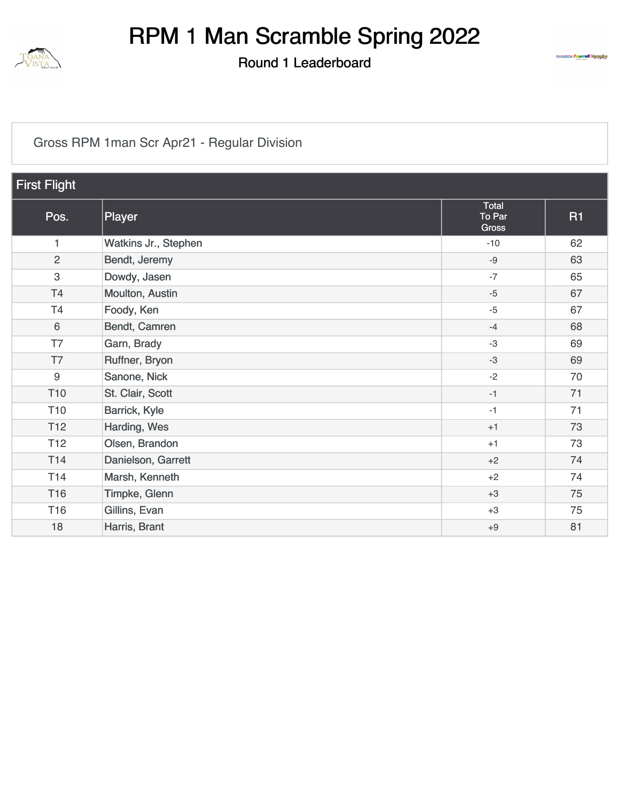

Round 1 Leaderboard



#### [Gross RPM 1man Scr Apr21 - Regular Division](https://cdn2.golfgenius.com/v2tournaments/8418932389966826174?called_from=&round_index=1)

| <b>First Flight</b> |                      |                                 |           |  |
|---------------------|----------------------|---------------------------------|-----------|--|
| Pos.                | Player               | Total<br>To Par<br><b>Gross</b> | <b>R1</b> |  |
| 1                   | Watkins Jr., Stephen | $-10$                           | 62        |  |
| $\overline{2}$      | Bendt, Jeremy        | $-9$                            | 63        |  |
| $\,3$               | Dowdy, Jasen         | $-7$                            | 65        |  |
| T4                  | Moulton, Austin      | $-5$                            | 67        |  |
| T4                  | Foody, Ken           | $-5$                            | 67        |  |
| 6                   | Bendt, Camren        | $-4$                            | 68        |  |
| T7                  | Garn, Brady          | $-3$                            | 69        |  |
| T7                  | Ruffner, Bryon       | $-3$                            | 69        |  |
| 9                   | Sanone, Nick         | $-2$                            | 70        |  |
| T <sub>10</sub>     | St. Clair, Scott     | $-1$                            | 71        |  |
| T <sub>10</sub>     | Barrick, Kyle        | $-1$                            | 71        |  |
| T <sub>12</sub>     | Harding, Wes         | $+1$                            | 73        |  |
| T <sub>12</sub>     | Olsen, Brandon       | $+1$                            | 73        |  |
| T14                 | Danielson, Garrett   | $+2$                            | 74        |  |
| T14                 | Marsh, Kenneth       | $+2$                            | 74        |  |
| T16                 | Timpke, Glenn        | $+3$                            | 75        |  |
| T16                 | Gillins, Evan        | $+3$                            | 75        |  |
| 18                  | Harris, Brant        | $+9$                            | 81        |  |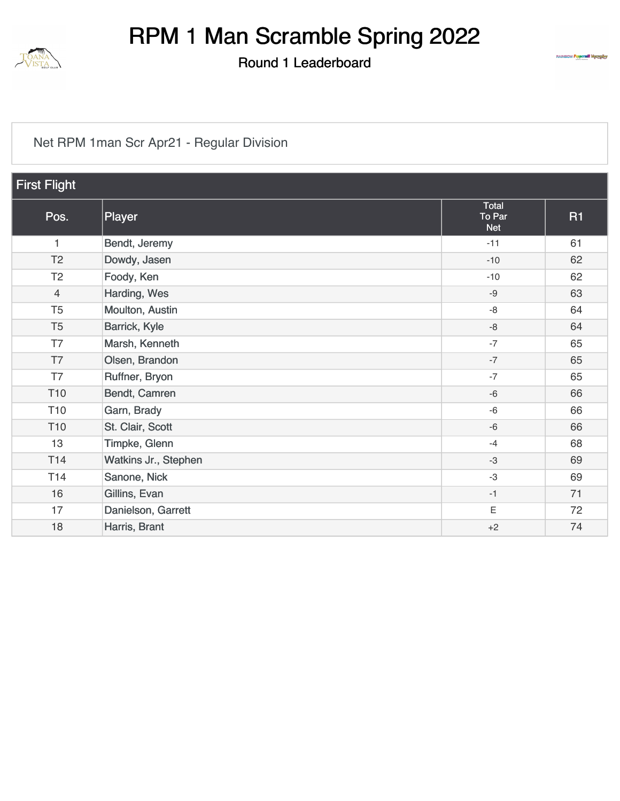

Round 1 Leaderboard



#### [Net RPM 1man Scr Apr21 - Regular Division](https://cdn2.golfgenius.com/v2tournaments/8418932398120553151?called_from=&round_index=1)

| <b>First Flight</b> |                      |                               |           |  |
|---------------------|----------------------|-------------------------------|-----------|--|
| Pos.                | Player               | Total<br>To Par<br><b>Net</b> | <b>R1</b> |  |
| 1                   | Bendt, Jeremy        | $-11$                         | 61        |  |
| T <sub>2</sub>      | Dowdy, Jasen         | $-10$                         | 62        |  |
| T <sub>2</sub>      | Foody, Ken           | $-10$                         | 62        |  |
| $\overline{4}$      | Harding, Wes         | $-9$                          | 63        |  |
| T <sub>5</sub>      | Moulton, Austin      | $-8$                          | 64        |  |
| T <sub>5</sub>      | Barrick, Kyle        | $-8$                          | 64        |  |
| T7                  | Marsh, Kenneth       | $-7$                          | 65        |  |
| T7                  | Olsen, Brandon       | $-7$                          | 65        |  |
| T7                  | Ruffner, Bryon       | $-7$                          | 65        |  |
| T <sub>10</sub>     | Bendt, Camren        | $-6$                          | 66        |  |
| T <sub>10</sub>     | Garn, Brady          | $-6$                          | 66        |  |
| T <sub>10</sub>     | St. Clair, Scott     | $-6$                          | 66        |  |
| 13                  | Timpke, Glenn        | $-4$                          | 68        |  |
| T14                 | Watkins Jr., Stephen | $-3$                          | 69        |  |
| T <sub>14</sub>     | Sanone, Nick         | $-3$                          | 69        |  |
| 16                  | Gillins, Evan        | $-1$                          | 71        |  |
| 17                  | Danielson, Garrett   | Ε                             | 72        |  |
| 18                  | Harris, Brant        | $+2$                          | 74        |  |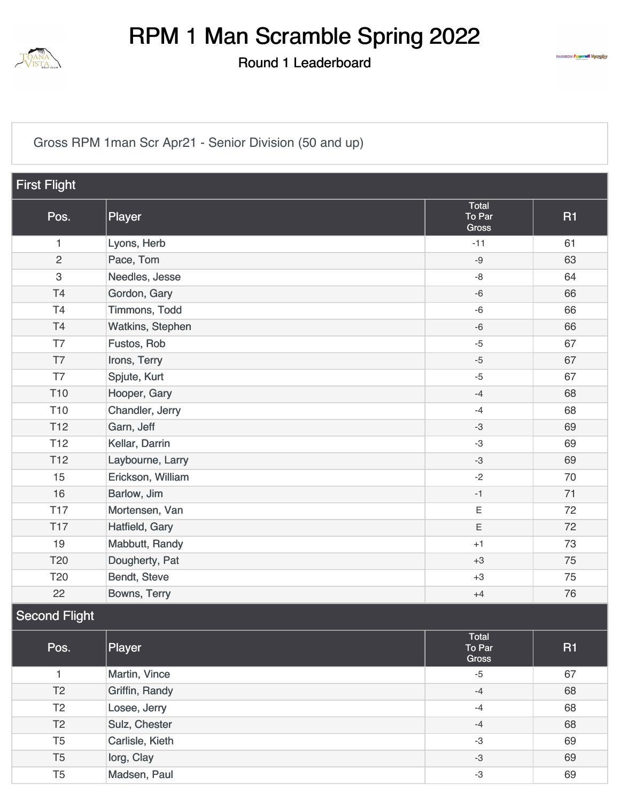

Round 1 Leaderboard



[Gross RPM 1man Scr Apr21 - Senior Division \(50 and up\)](https://cdn2.golfgenius.com/v2tournaments/8418932369397959355?called_from=&round_index=1)

| <b>First Flight</b>  |                   |                                 |           |  |  |
|----------------------|-------------------|---------------------------------|-----------|--|--|
| Pos.                 | Player            | Total<br>To Par<br><b>Gross</b> | <b>R1</b> |  |  |
| 1                    | Lyons, Herb       | $-11$                           | 61        |  |  |
| $\overline{2}$       | Pace, Tom         | $-9$                            | 63        |  |  |
| 3                    | Needles, Jesse    | $-8$                            | 64        |  |  |
| T4                   | Gordon, Gary      | $-6$                            | 66        |  |  |
| T <sub>4</sub>       | Timmons, Todd     | $-6$                            | 66        |  |  |
| T4                   | Watkins, Stephen  | $-6$                            | 66        |  |  |
| T7                   | Fustos, Rob       | $-5$                            | 67        |  |  |
| T7                   | Irons, Terry      | $-5$                            | 67        |  |  |
| T7                   | Spjute, Kurt      | $-5$                            | 67        |  |  |
| T <sub>10</sub>      | Hooper, Gary      | $-4$                            | 68        |  |  |
| T <sub>10</sub>      | Chandler, Jerry   | $-4$                            | 68        |  |  |
| T <sub>12</sub>      | Garn, Jeff        | $-3$                            | 69        |  |  |
| T <sub>12</sub>      | Kellar, Darrin    | $-3$                            | 69        |  |  |
| <b>T12</b>           | Laybourne, Larry  | $-3$                            | 69        |  |  |
| 15                   | Erickson, William | $-2$                            | 70        |  |  |
| 16                   | Barlow, Jim       | $-1$                            | 71        |  |  |
| <b>T17</b>           | Mortensen, Van    | $\mathsf E$                     | 72        |  |  |
| <b>T17</b>           | Hatfield, Gary    | $\mathsf E$                     | 72        |  |  |
| 19                   | Mabbutt, Randy    | $+1$                            | 73        |  |  |
| T20                  | Dougherty, Pat    | $+3$                            | 75        |  |  |
| T <sub>20</sub>      | Bendt, Steve      | $+3$                            | 75        |  |  |
| 22                   | Bowns, Terry      | $+4$                            | 76        |  |  |
| <b>Second Flight</b> |                   |                                 |           |  |  |

| Pos.           | Player          | Total<br>To Par<br>Gross | <b>R1</b> |
|----------------|-----------------|--------------------------|-----------|
|                | Martin, Vince   | $-5$                     | 67        |
| T <sub>2</sub> | Griffin, Randy  | $-4$                     | 68        |
| T2             | Losee, Jerry    | $-4$                     | 68        |
| T <sub>2</sub> | Sulz, Chester   | $-4$                     | 68        |
| T <sub>5</sub> | Carlisle, Kieth | -3                       | 69        |
| T <sub>5</sub> | lorg, Clay      | -3                       | 69        |
| T <sub>5</sub> | Madsen, Paul    | -3                       | 69        |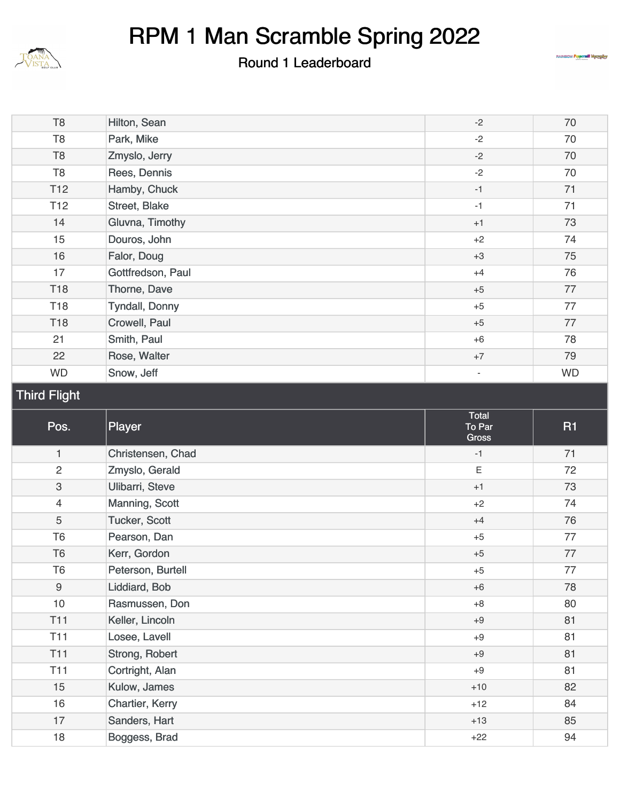

Round 1 Leaderboard



| T <sub>8</sub>            | Hilton, Sean          | $-2$                            | 70        |
|---------------------------|-----------------------|---------------------------------|-----------|
| T <sub>8</sub>            | Park, Mike            | $-2$                            | 70        |
| T <sub>8</sub>            | Zmyslo, Jerry         | $-2$                            | 70        |
| T <sub>8</sub>            | Rees, Dennis          | $-2$                            | 70        |
| T <sub>12</sub>           | Hamby, Chuck          | $-1$                            | 71        |
| T <sub>12</sub>           | Street, Blake         | $-1$                            | 71        |
| 14                        | Gluvna, Timothy       | $+1$                            | 73        |
| 15                        | Douros, John          | $+2$                            | 74        |
| 16                        | Falor, Doug           | $+3$                            | 75        |
| 17                        | Gottfredson, Paul     | $+4$                            | 76        |
| <b>T18</b>                | Thorne, Dave          | $+5$                            | 77        |
| <b>T18</b>                | <b>Tyndall, Donny</b> | $+5$                            | 77        |
| <b>T18</b>                | Crowell, Paul         | $+5$                            | 77        |
| 21                        | Smith, Paul           | $+6$                            | 78        |
| 22                        | Rose, Walter          | $+7$                            | 79        |
| <b>WD</b>                 | Snow, Jeff            | $\overline{\phantom{a}}$        | <b>WD</b> |
| <b>Third Flight</b>       |                       |                                 |           |
|                           |                       |                                 |           |
| Pos.                      | Player                | Total<br>To Par<br><b>Gross</b> | <b>R1</b> |
| $\mathbf{1}$              | Christensen, Chad     | $-1$                            | 71        |
| $\sqrt{2}$                | Zmyslo, Gerald        | $\mathsf E$                     | 72        |
| $\ensuremath{\mathsf{3}}$ | Ulibarri, Steve       | $+1$                            | 73        |
| $\overline{4}$            | Manning, Scott        | $+2$                            | 74        |
| 5                         | Tucker, Scott         | $+4$                            | 76        |
| T <sub>6</sub>            | Pearson, Dan          | $+5$                            | 77        |
| T <sub>6</sub>            | Kerr, Gordon          | $+5$                            | 77        |
| T <sub>6</sub>            | Peterson, Burtell     | $+5$                            | $77$      |
| $9\,$                     | Liddiard, Bob         | $+6$                            | 78        |
| 10                        | Rasmussen, Don        | $+8$                            | 80        |
| <b>T11</b>                | Keller, Lincoln       | $+9$                            | 81        |
| T <sub>11</sub>           | Losee, Lavell         | $+9$                            | 81        |
| <b>T11</b>                | Strong, Robert        | $+9$                            | 81        |

[Kulow, James](https://cdn2.golfgenius.com/tournaments2/details/8419720734670113367)[Chartier, Kerry](https://cdn2.golfgenius.com/tournaments2/details/8419720734670113372)[Sanders, Hart](https://cdn2.golfgenius.com/tournaments2/details/8419720734670113384)[Boggess, Brad](https://cdn2.golfgenius.com/tournaments2/details/8419720734670113383) 18 Boggess, Brad 18 Boggess, Brad 18 Boggess, Brad 194

 $+10$ +12 +13 +22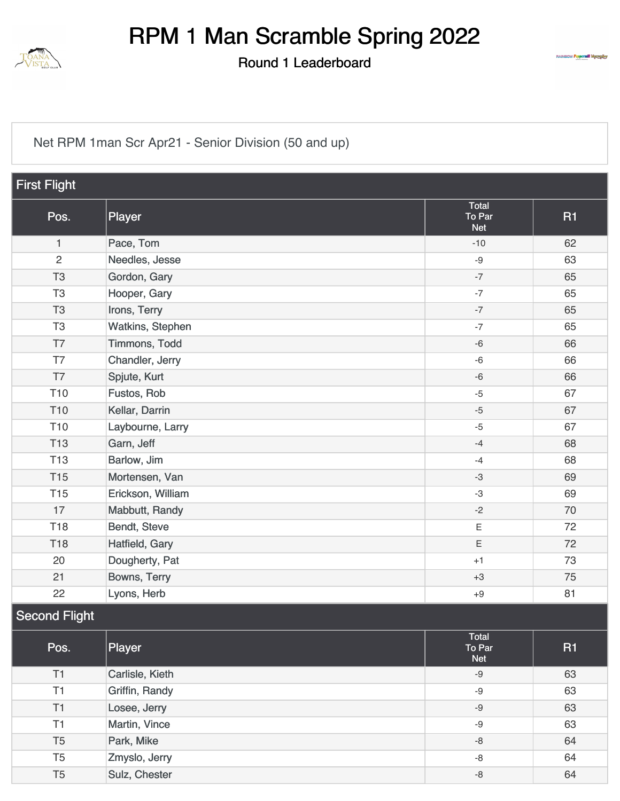

Round 1 Leaderboard



[Net RPM 1man Scr Apr21 - Senior Division \(50 and up\)](https://cdn2.golfgenius.com/v2tournaments/8418932379028081340?called_from=&round_index=1)

| <b>First Flight</b>  |                   |                               |           |  |
|----------------------|-------------------|-------------------------------|-----------|--|
| Pos.                 | Player            | Total<br>To Par<br><b>Net</b> | <b>R1</b> |  |
| $\mathbf{1}$         | Pace, Tom         | $-10$                         | 62        |  |
| $\overline{c}$       | Needles, Jesse    | $-9$                          | 63        |  |
| T <sub>3</sub>       | Gordon, Gary      | $-7$                          | 65        |  |
| T <sub>3</sub>       | Hooper, Gary      | $-7$                          | 65        |  |
| T <sub>3</sub>       | Irons, Terry      | $-7$                          | 65        |  |
| T <sub>3</sub>       | Watkins, Stephen  | $-7$                          | 65        |  |
| T7                   | Timmons, Todd     | $-6$                          | 66        |  |
| T7                   | Chandler, Jerry   | $-6$                          | 66        |  |
| T7                   | Spjute, Kurt      | $-6$                          | 66        |  |
| <b>T10</b>           | Fustos, Rob       | $-5$                          | 67        |  |
| T <sub>10</sub>      | Kellar, Darrin    | $-5$                          | 67        |  |
| T <sub>10</sub>      | Laybourne, Larry  | $-5$                          | 67        |  |
| <b>T13</b>           | Garn, Jeff        | $-4$                          | 68        |  |
| <b>T13</b>           | Barlow, Jim       | $-4$                          | 68        |  |
| <b>T15</b>           | Mortensen, Van    | $-3$                          | 69        |  |
| <b>T15</b>           | Erickson, William | $-3$                          | 69        |  |
| 17                   | Mabbutt, Randy    | $-2$                          | 70        |  |
| <b>T18</b>           | Bendt, Steve      | $\mathsf E$                   | 72        |  |
| <b>T18</b>           | Hatfield, Gary    | $\mathsf E$                   | 72        |  |
| 20                   | Dougherty, Pat    | $+1$                          | 73        |  |
| 21                   | Bowns, Terry      | $+3$                          | 75        |  |
| 22                   | Lyons, Herb       | $+9$                          | 81        |  |
| <b>Second Flight</b> |                   |                               |           |  |

| Pos.           | Player          | Total<br>To Par<br><b>Net</b> | <b>R1</b> |
|----------------|-----------------|-------------------------------|-----------|
| T1             | Carlisle, Kieth | -9                            | 63        |
| T1             | Griffin, Randy  | $-9$                          | 63        |
| T1             | Losee, Jerry    | $-9$                          | 63        |
| T1             | Martin, Vince   | -9                            | 63        |
| T <sub>5</sub> | Park, Mike      | -8                            | 64        |
| T <sub>5</sub> | Zmyslo, Jerry   | -8                            | 64        |
| T <sub>5</sub> | Sulz, Chester   | -8                            | 64        |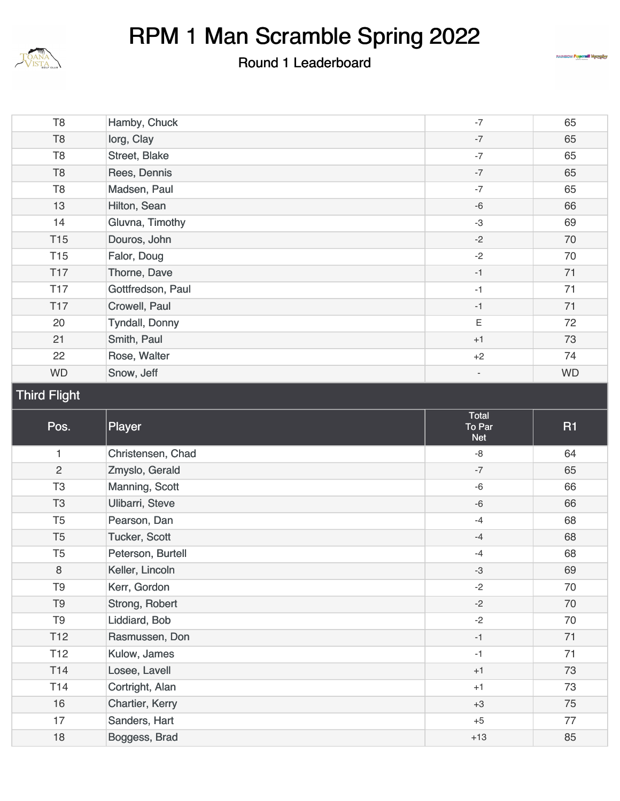

Round 1 Leaderboard



| T <sub>8</sub>      | Hamby, Chuck          | $-7$                     | 65        |
|---------------------|-----------------------|--------------------------|-----------|
| T <sub>8</sub>      | lorg, Clay            | $\textnormal{-}7$        | 65        |
| T <sub>8</sub>      | Street, Blake         | $-7$                     | 65        |
| T <sub>8</sub>      | Rees, Dennis          | $-7$                     | 65        |
| T <sub>8</sub>      | Madsen, Paul          | $-7$                     | 65        |
| 13                  | Hilton, Sean          | $-6$                     | 66        |
| 14                  | Gluvna, Timothy       | $-3$                     | 69        |
| T <sub>15</sub>     | Douros, John          | $-2$                     | 70        |
| T <sub>15</sub>     | Falor, Doug           | $-2$                     | 70        |
| T17                 | Thorne, Dave          | $-1$                     | 71        |
| <b>T17</b>          | Gottfredson, Paul     | $-1$                     | 71        |
| T <sub>17</sub>     | Crowell, Paul         | $-1$                     | 71        |
| 20                  | <b>Tyndall, Donny</b> | Ε                        | 72        |
| 21                  | Smith, Paul           | $+1$                     | 73        |
| 22                  | Rose, Walter          | $+2$                     | 74        |
| <b>WD</b>           | Snow, Jeff            | $\overline{\phantom{a}}$ | <b>WD</b> |
| <b>Third Flight</b> |                       |                          |           |
| Pos.                | Player                | Total<br>To Par          | <b>R1</b> |
|                     |                       | <b>Net</b>               |           |
| 1                   | Christensen, Chad     | $\mbox{-}8$              | 64        |
| $\overline{2}$      | Zmyslo, Gerald        | $-7$                     | 65        |
| T <sub>3</sub>      | Manning, Scott        | $-6$                     | 66        |
| T <sub>3</sub>      | Ulibarri, Steve       | $-6$                     | 66        |
| T <sub>5</sub>      | Pearson, Dan          | $-4$                     | 68        |
| T <sub>5</sub>      | Tucker, Scott         | $-4$                     | 68        |
| T <sub>5</sub>      | Peterson, Burtell     | $-4$                     | 68        |
| $\,8\,$             | Keller, Lincoln       | $-3$                     | 69        |
| T <sub>9</sub>      | Kerr, Gordon          | $-2$                     | 70        |
| T <sub>9</sub>      | Strong, Robert        | $-2$                     | 70        |
| T <sub>9</sub>      | Liddiard, Bob         | $-2$                     | 70        |
| T <sub>12</sub>     | Rasmussen, Don        | $-1$                     | 71        |
| T <sub>12</sub>     | Kulow, James          | $-1$                     | 71        |
| T14                 | Losee, Lavell         | $+1$                     | 73        |
| T14                 | Cortright, Alan       | $+1$                     | 73        |
| 16                  | Chartier, Kerry       | $+3$                     | 75        |
| 17                  | Sanders, Hart         | $+5$                     | 77        |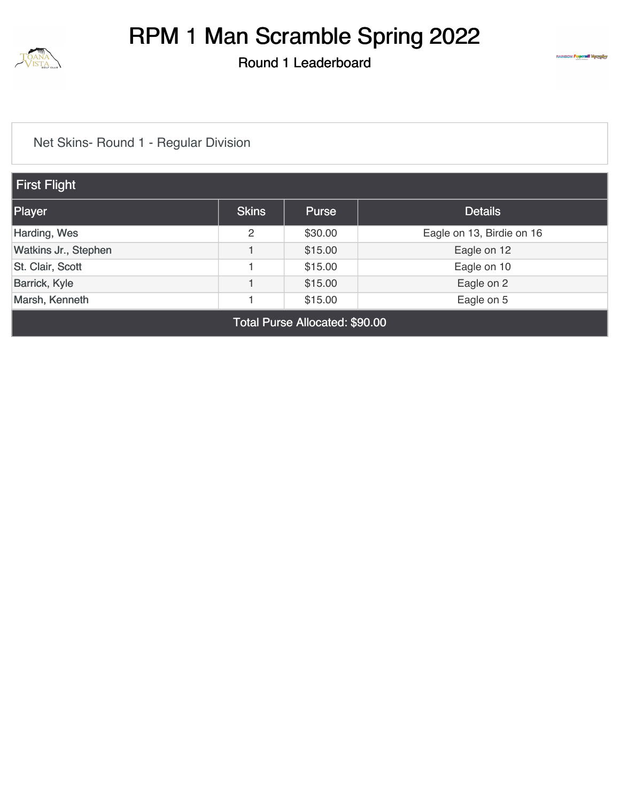

Round 1 Leaderboard



#### [Net Skins- Round 1 - Regular Division](https://cdn2.golfgenius.com/v2tournaments/8393024375082765008?called_from=&round_index=1)

| First Flight         |              |              |                           |  |  |
|----------------------|--------------|--------------|---------------------------|--|--|
| Player               | <b>Skins</b> | <b>Purse</b> | <b>Details</b>            |  |  |
| Harding, Wes         | 2            | \$30.00      | Eagle on 13, Birdie on 16 |  |  |
| Watkins Jr., Stephen |              | \$15.00      | Eagle on 12               |  |  |
| St. Clair, Scott     |              | \$15.00      | Eagle on 10               |  |  |
| <b>Barrick, Kyle</b> |              | \$15.00      | Eagle on 2                |  |  |
| Marsh, Kenneth       |              | \$15.00      | Eagle on 5                |  |  |
|                      |              |              |                           |  |  |

Total Purse Allocated: \$90.00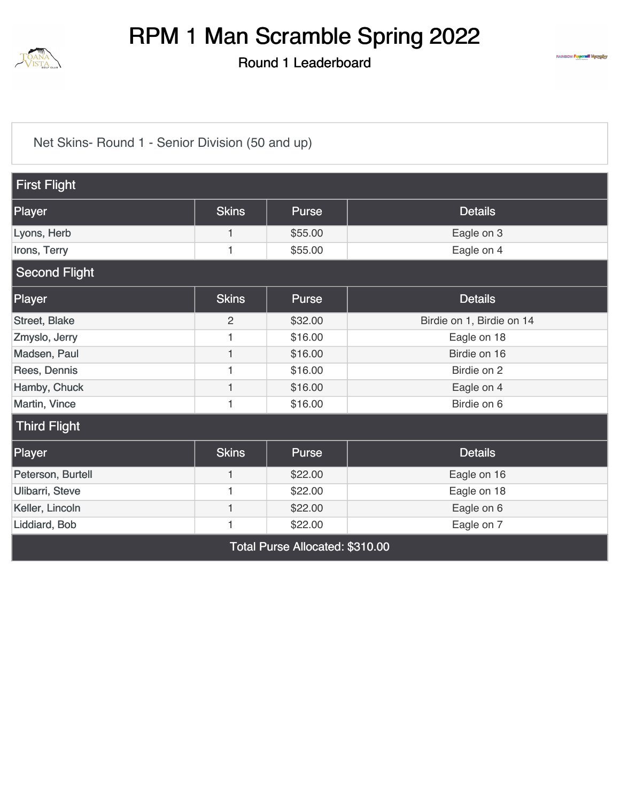

Round 1 Leaderboard



[Net Skins- Round 1 - Senior Division \(50 and up\)](https://cdn2.golfgenius.com/v2tournaments/8393024356325837519?called_from=&round_index=1)

| <b>First Flight</b>  |                |                                     |                           |  |  |  |
|----------------------|----------------|-------------------------------------|---------------------------|--|--|--|
| Player               | <b>Skins</b>   | Purse                               | <b>Details</b>            |  |  |  |
| Lyons, Herb          | $\mathbf{1}$   | \$55.00                             | Eagle on 3                |  |  |  |
| Irons, Terry         | 1              | \$55.00                             | Eagle on 4                |  |  |  |
| <b>Second Flight</b> |                |                                     |                           |  |  |  |
| Player               | <b>Skins</b>   | Purse                               | <b>Details</b>            |  |  |  |
| Street, Blake        | $\overline{2}$ | \$32.00                             | Birdie on 1, Birdie on 14 |  |  |  |
| Zmyslo, Jerry        |                | \$16.00                             | Eagle on 18               |  |  |  |
| Madsen, Paul         | 1              | \$16.00                             | Birdie on 16              |  |  |  |
| Rees, Dennis         | 1              | \$16.00                             | Birdie on 2               |  |  |  |
| Hamby, Chuck         |                | \$16.00                             | Eagle on 4                |  |  |  |
| Martin, Vince        | 1              | \$16.00                             | Birdie on 6               |  |  |  |
| <b>Third Flight</b>  |                |                                     |                           |  |  |  |
| Player               | <b>Skins</b>   | Purse                               | <b>Details</b>            |  |  |  |
| Peterson, Burtell    | 1              | \$22.00                             | Eagle on 16               |  |  |  |
| Ulibarri, Steve      | 1              | \$22.00                             | Eagle on 18               |  |  |  |
| Keller, Lincoln      | 1              | \$22.00                             | Eagle on 6                |  |  |  |
| Liddiard, Bob        | 1              | \$22.00                             | Eagle on 7                |  |  |  |
|                      |                | $T - 1 - 1$ D All., $-1 - 1$ , $AQ$ |                           |  |  |  |

Total Purse Allocated: \$310.00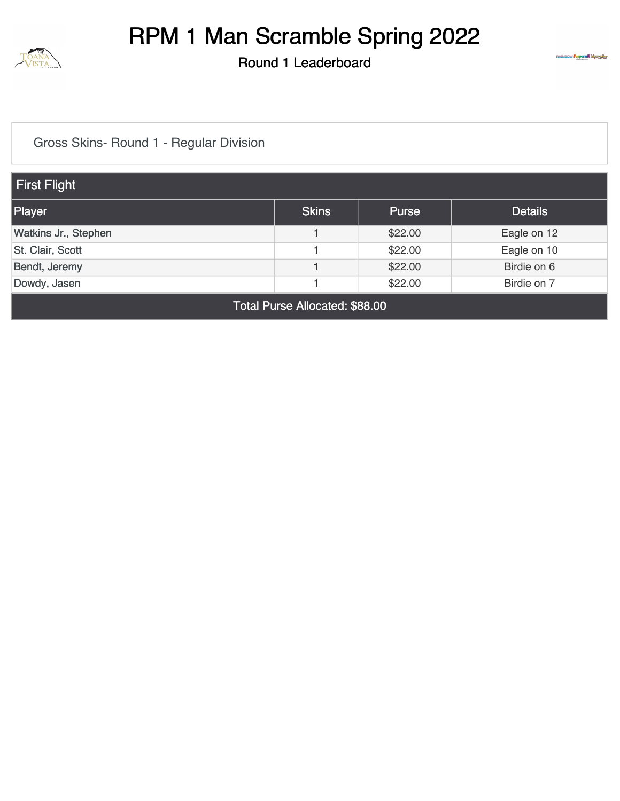

Round 1 Leaderboard



[Gross Skins- Round 1 - Regular Division](https://cdn2.golfgenius.com/v2tournaments/8393024391121783506?called_from=&round_index=1)

| First Flight                   |              |              |                |  |
|--------------------------------|--------------|--------------|----------------|--|
| Player                         | <b>Skins</b> | <b>Purse</b> | <b>Details</b> |  |
| Watkins Jr., Stephen           |              | \$22.00      | Eagle on 12    |  |
| St. Clair, Scott               |              | \$22.00      | Eagle on 10    |  |
| Bendt, Jeremy                  |              | \$22.00      | Birdie on 6    |  |
| Dowdy, Jasen                   |              | \$22.00      | Birdie on 7    |  |
| Total Purse Allocated: \$88.00 |              |              |                |  |